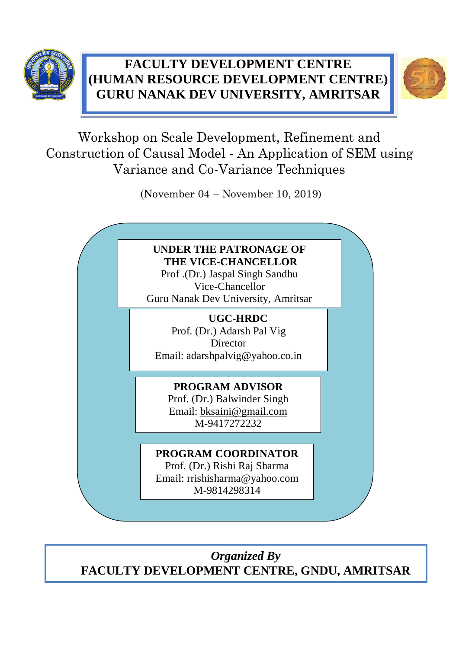

## **FACULTY DEVELOPMENT CENTRE**  **GURU NANAK DEV UNIVERSITY, AMRITSAR**  **(HUMAN RESOURCE DEVELOPMENT CENTRE)**



Workshop on Scale Development, Refinement and Construction of Causal Model - An Application of SEM using Variance and Co-Variance Techniques

(November 04 – November 10, 2019)



*Organized By* **FACULTY DEVELOPMENT CENTRE, GNDU, AMRITSAR**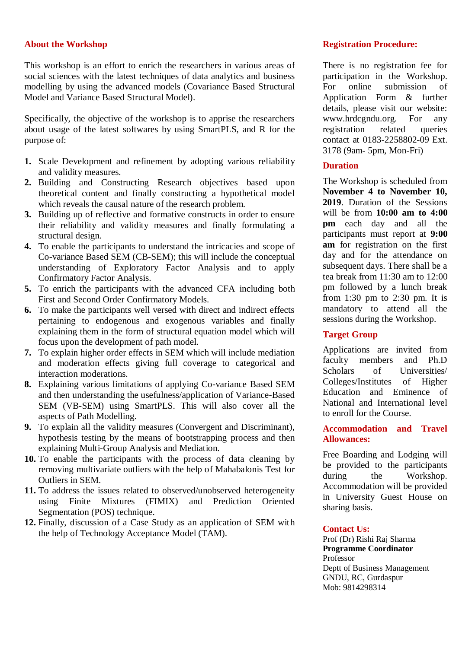#### **About the Workshop**

This workshop is an effort to enrich the researchers in various areas of social sciences with the latest techniques of data analytics and business modelling by using the advanced models (Covariance Based Structural Model and Variance Based Structural Model).

Specifically, the objective of the workshop is to apprise the researchers about usage of the latest softwares by using SmartPLS, and R for the purpose of:

- **1.** Scale Development and refinement by adopting various reliability and validity measures.
- **2.** Building and Constructing Research objectives based upon theoretical content and finally constructing a hypothetical model which reveals the causal nature of the research problem.
- **3.** Building up of reflective and formative constructs in order to ensure their reliability and validity measures and finally formulating a structural design.
- **4.** To enable the participants to understand the intricacies and scope of Co-variance Based SEM (CB-SEM); this will include the conceptual understanding of Exploratory Factor Analysis and to apply Confirmatory Factor Analysis.
- **5.** To enrich the participants with the advanced CFA including both First and Second Order Confirmatory Models.
- **6.** To make the participants well versed with direct and indirect effects pertaining to endogenous and exogenous variables and finally explaining them in the form of structural equation model which will focus upon the development of path model.
- **7.** To explain higher order effects in SEM which will include mediation and moderation effects giving full coverage to categorical and interaction moderations.
- **8.** Explaining various limitations of applying Co-variance Based SEM and then understanding the usefulness/application of Variance-Based SEM (VB-SEM) using SmartPLS. This will also cover all the aspects of Path Modelling.
- **9.** To explain all the validity measures (Convergent and Discriminant), hypothesis testing by the means of bootstrapping process and then explaining Multi-Group Analysis and Mediation.
- **10.** To enable the participants with the process of data cleaning by removing multivariate outliers with the help of Mahabalonis Test for Outliers in SEM.
- **11.** To address the issues related to observed/unobserved heterogeneity using Finite Mixtures (FIMIX) and Prediction Oriented Segmentation (POS) technique.
- **12.** Finally, discussion of a Case Study as an application of SEM with the help of Technology Acceptance Model (TAM).

#### **Registration Procedure:**

There is no registration fee for participation in the Workshop. For online submission of Application Form & further details, please visit our website: www.hrdcgndu.org. For any registration related queries contact at 0183-2258802-09 Ext. 3178 (9am- 5pm, Mon-Fri)

### **Duration**

The Workshop is scheduled from **November 4 to November 10, 2019**. Duration of the Sessions will be from **10:00 am to 4:00 pm** each day and all the participants must report at **9:00 am** for registration on the first day and for the attendance on subsequent days. There shall be a tea break from 11:30 am to 12:00 pm followed by a lunch break from 1:30 pm to 2:30 pm. It is mandatory to attend all the sessions during the Workshop.

#### **Target Group**

Applications are invited from faculty members and Ph.D Scholars of Universities/ Colleges/Institutes of Higher Education and Eminence of National and International level to enroll for the Course.

#### **Accommodation and Travel Allowances:**

Free Boarding and Lodging will be provided to the participants during the Workshop. Accommodation will be provided in University Guest House on sharing basis.

#### **Contact Us:**

Prof (Dr) Rishi Raj Sharma **Programme Coordinator** Professor Deptt of Business Management GNDU, RC, Gurdaspur Mob: 9814298314